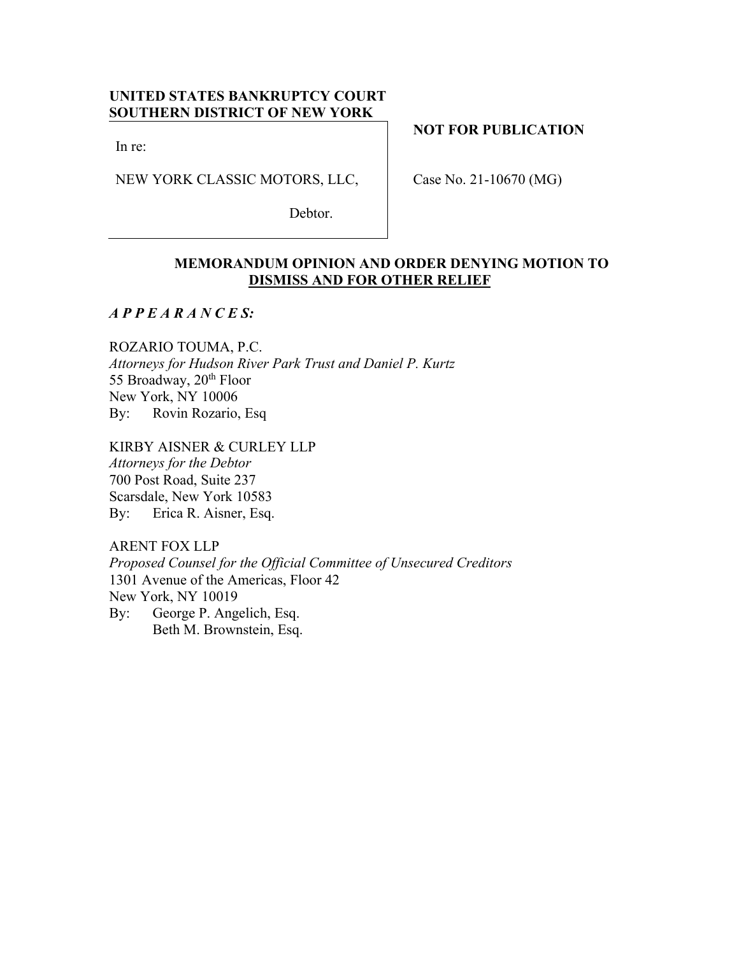# **UNITED STATES BANKRUPTCY COURT SOUTHERN DISTRICT OF NEW YORK**

In re:

NEW YORK CLASSIC MOTORS, LLC,

Debtor.

**NOT FOR PUBLICATION**

Case No. 21-10670 (MG)

## **MEMORANDUM OPINION AND ORDER DENYING MOTION TO DISMISS AND FOR OTHER RELIEF**

*A P P E A R A N C E S:*

ROZARIO TOUMA, P.C. *Attorneys for Hudson River Park Trust and Daniel P. Kurtz* 55 Broadway, 20<sup>th</sup> Floor New York, NY 10006 By: Rovin Rozario, Esq

KIRBY AISNER & CURLEY LLP *Attorneys for the Debtor* 700 Post Road, Suite 237 Scarsdale, New York 10583 By: Erica R. Aisner, Esq.

ARENT FOX LLP *Proposed Counsel for the Official Committee of Unsecured Creditors* 1301 Avenue of the Americas, Floor 42 New York, NY 10019 By: George P. Angelich, Esq. Beth M. Brownstein, Esq.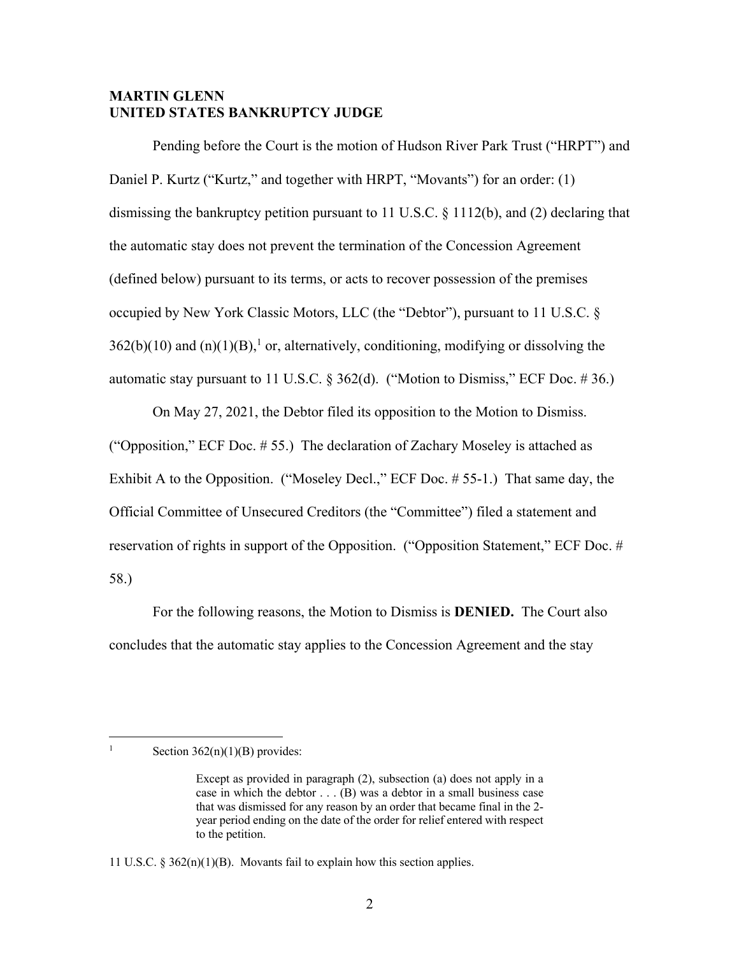## **MARTIN GLENN UNITED STATES BANKRUPTCY JUDGE**

Pending before the Court is the motion of Hudson River Park Trust ("HRPT") and Daniel P. Kurtz ("Kurtz," and together with HRPT, "Movants") for an order: (1) dismissing the bankruptcy petition pursuant to 11 U.S.C. § 1112(b), and (2) declaring that the automatic stay does not prevent the termination of the Concession Agreement (defined below) pursuant to its terms, or acts to recover possession of the premises occupied by New York Classic Motors, LLC (the "Debtor"), pursuant to 11 U.S.C. §  $362(b)(10)$  and  $(n)(1)(B)$ ,<sup>1</sup> or, alternatively, conditioning, modifying or dissolving the automatic stay pursuant to 11 U.S.C.  $\S 362(d)$ . ("Motion to Dismiss," ECF Doc. #36.)

On May 27, 2021, the Debtor filed its opposition to the Motion to Dismiss. ("Opposition," ECF Doc. # 55.) The declaration of Zachary Moseley is attached as Exhibit A to the Opposition. ("Moseley Decl.," ECF Doc. # 55-1.) That same day, the Official Committee of Unsecured Creditors (the "Committee") filed a statement and reservation of rights in support of the Opposition. ("Opposition Statement," ECF Doc. # 58.)

For the following reasons, the Motion to Dismiss is **DENIED.** The Court also concludes that the automatic stay applies to the Concession Agreement and the stay

<sup>&</sup>lt;sup>1</sup> Section  $362(n)(1)(B)$  provides:

Except as provided in paragraph (2), subsection (a) does not apply in a case in which the debtor  $\dots$  (B) was a debtor in a small business case that was dismissed for any reason by an order that became final in the 2 year period ending on the date of the order for relief entered with respect to the petition.

<sup>11</sup> U.S.C.  $\S 362(n)(1)(B)$ . Movants fail to explain how this section applies.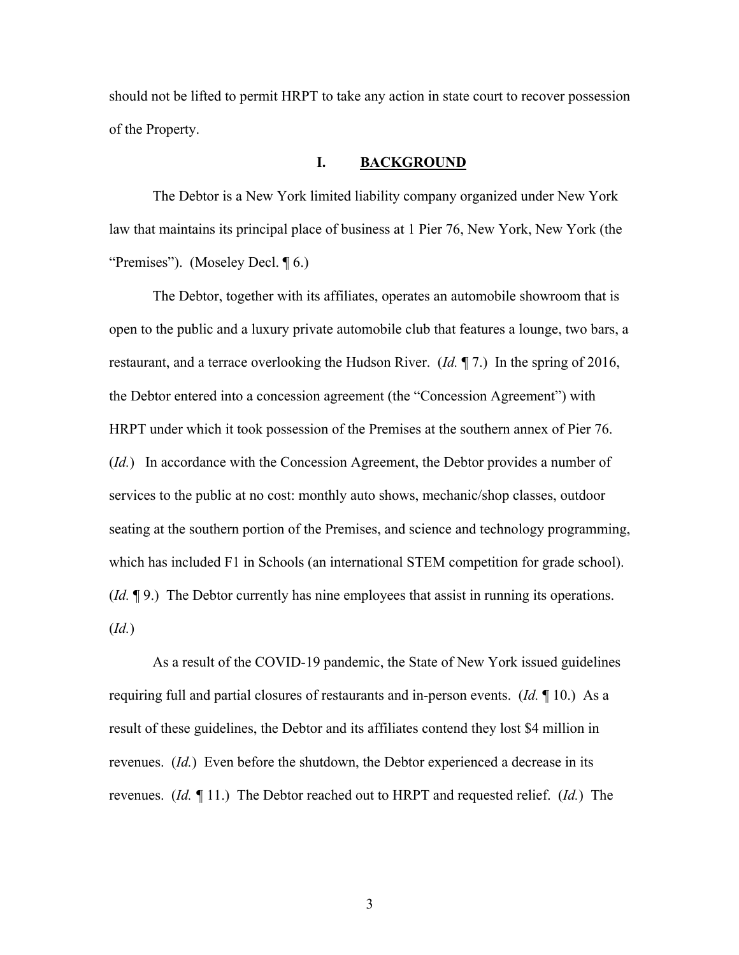should not be lifted to permit HRPT to take any action in state court to recover possession of the Property.

#### **I. BACKGROUND**

The Debtor is a New York limited liability company organized under New York law that maintains its principal place of business at 1 Pier 76, New York, New York (the "Premises"). (Moseley Decl. ¶ 6.)

The Debtor, together with its affiliates, operates an automobile showroom that is open to the public and a luxury private automobile club that features a lounge, two bars, a restaurant, and a terrace overlooking the Hudson River. (*Id.* ¶ 7.) In the spring of 2016, the Debtor entered into a concession agreement (the "Concession Agreement") with HRPT under which it took possession of the Premises at the southern annex of Pier 76. (*Id.*) In accordance with the Concession Agreement, the Debtor provides a number of services to the public at no cost: monthly auto shows, mechanic/shop classes, outdoor seating at the southern portion of the Premises, and science and technology programming, which has included F1 in Schools (an international STEM competition for grade school). (*Id.* ¶ 9.) The Debtor currently has nine employees that assist in running its operations. (*Id.*)

As a result of the COVID-19 pandemic, the State of New York issued guidelines requiring full and partial closures of restaurants and in-person events. (*Id.* ¶ 10.) As a result of these guidelines, the Debtor and its affiliates contend they lost \$4 million in revenues. (*Id.*) Even before the shutdown, the Debtor experienced a decrease in its revenues. (*Id. ¶* 11.) The Debtor reached out to HRPT and requested relief. (*Id.*) The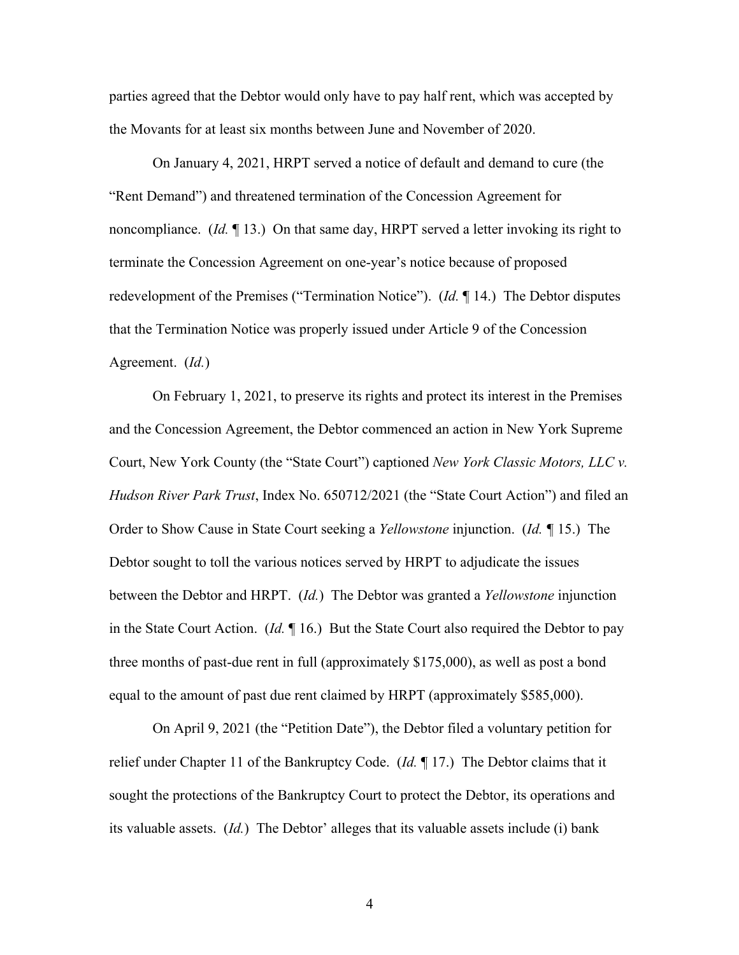parties agreed that the Debtor would only have to pay half rent, which was accepted by the Movants for at least six months between June and November of 2020.

On January 4, 2021, HRPT served a notice of default and demand to cure (the "Rent Demand") and threatened termination of the Concession Agreement for noncompliance. (*Id.* ¶ 13.) On that same day, HRPT served a letter invoking its right to terminate the Concession Agreement on one-year's notice because of proposed redevelopment of the Premises ("Termination Notice"). (*Id.* ¶ 14.) The Debtor disputes that the Termination Notice was properly issued under Article 9 of the Concession Agreement. (*Id.*)

On February 1, 2021, to preserve its rights and protect its interest in the Premises and the Concession Agreement, the Debtor commenced an action in New York Supreme Court, New York County (the "State Court") captioned *New York Classic Motors, LLC v. Hudson River Park Trust*, Index No. 650712/2021 (the "State Court Action") and filed an Order to Show Cause in State Court seeking a *Yellowstone* injunction. (*Id. ¶* 15.) The Debtor sought to toll the various notices served by HRPT to adjudicate the issues between the Debtor and HRPT. (*Id.*) The Debtor was granted a *Yellowstone* injunction in the State Court Action. (*Id.* ¶ 16.) But the State Court also required the Debtor to pay three months of past-due rent in full (approximately \$175,000), as well as post a bond equal to the amount of past due rent claimed by HRPT (approximately \$585,000).

On April 9, 2021 (the "Petition Date"), the Debtor filed a voluntary petition for relief under Chapter 11 of the Bankruptcy Code. (*Id.* ¶ 17.) The Debtor claims that it sought the protections of the Bankruptcy Court to protect the Debtor, its operations and its valuable assets. (*Id.*) The Debtor' alleges that its valuable assets include (i) bank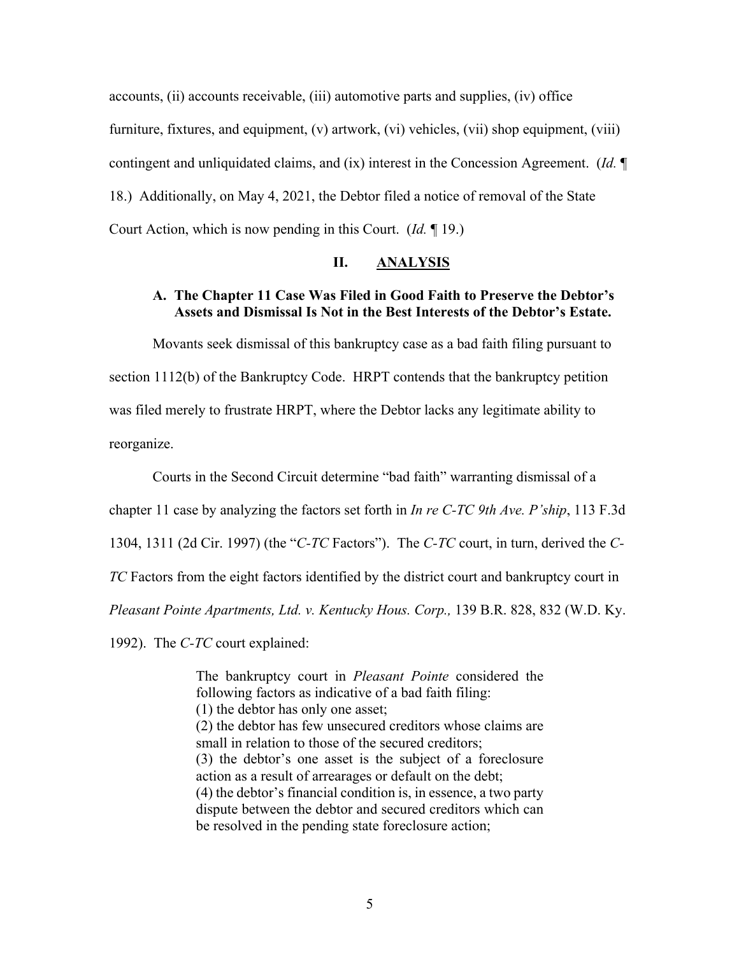accounts, (ii) accounts receivable, (iii) automotive parts and supplies, (iv) office furniture, fixtures, and equipment, (v) artwork, (vi) vehicles, (vii) shop equipment, (viii) contingent and unliquidated claims, and (ix) interest in the Concession Agreement. (*Id.* ¶ 18.) Additionally, on May 4, 2021, the Debtor filed a notice of removal of the State Court Action, which is now pending in this Court. (*Id.* ¶ 19.)

### **II. ANALYSIS**

### **A. The Chapter 11 Case Was Filed in Good Faith to Preserve the Debtor's Assets and Dismissal Is Not in the Best Interests of the Debtor's Estate.**

Movants seek dismissal of this bankruptcy case as a bad faith filing pursuant to section 1112(b) of the Bankruptcy Code. HRPT contends that the bankruptcy petition was filed merely to frustrate HRPT, where the Debtor lacks any legitimate ability to reorganize.

Courts in the Second Circuit determine "bad faith" warranting dismissal of a chapter 11 case by analyzing the factors set forth in *In re C-TC 9th Ave. P'ship*, 113 F.3d 1304, 1311 (2d Cir. 1997) (the "*C-TC* Factors"). The *C-TC* court, in turn, derived the *C-TC* Factors from the eight factors identified by the district court and bankruptcy court in *Pleasant Pointe Apartments, Ltd. v. Kentucky Hous. Corp.,* 139 B.R. 828, 832 (W.D. Ky.

1992). The *C-TC* court explained:

The bankruptcy court in *Pleasant Pointe* considered the following factors as indicative of a bad faith filing: (1) the debtor has only one asset; (2) the debtor has few unsecured creditors whose claims are small in relation to those of the secured creditors; (3) the debtor's one asset is the subject of a foreclosure action as a result of arrearages or default on the debt; (4) the debtor's financial condition is, in essence, a two party dispute between the debtor and secured creditors which can be resolved in the pending state foreclosure action;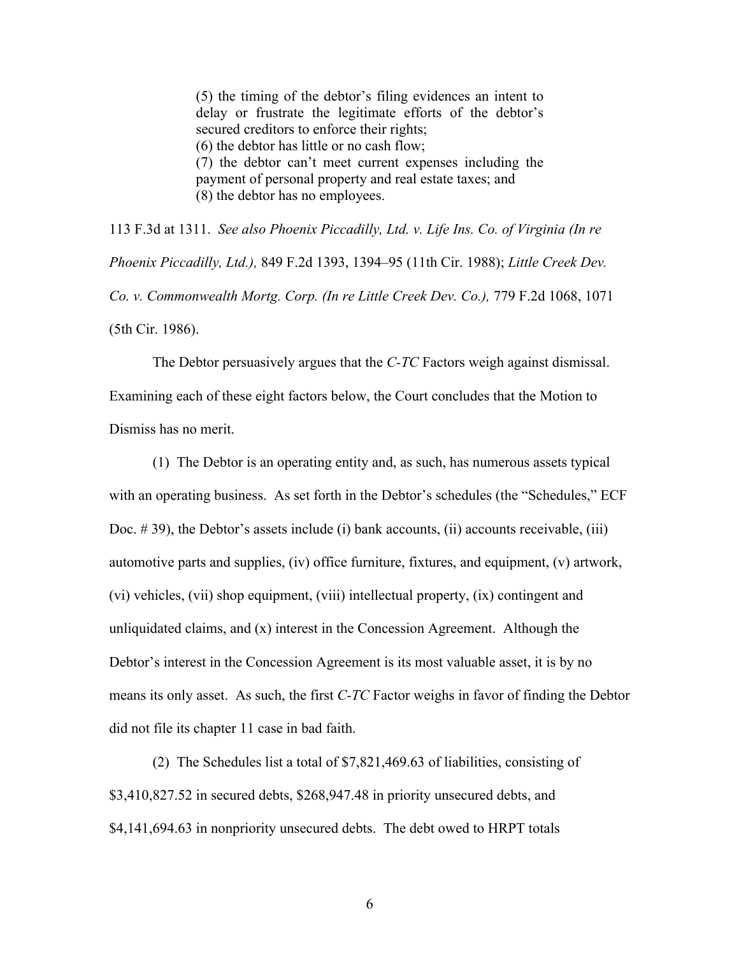(5) the timing of the debtor's filing evidences an intent to delay or frustrate the legitimate efforts of the debtor's secured creditors to enforce their rights; (6) the debtor has little or no cash flow; (7) the debtor can't meet current expenses including the payment of personal property and real estate taxes; and (8) the debtor has no employees.

113 F.3d at 1311. *See also Phoenix Piccadilly, Ltd. v. Life Ins. Co. of Virginia (In re Phoenix Piccadilly, Ltd.),* 849 F.2d 1393, 1394–95 (11th Cir. 1988); *Little Creek Dev. Co. v. Commonwealth Mortg. Corp. (In re Little Creek Dev. Co.),* 779 F.2d 1068, 1071 (5th Cir. 1986).

The Debtor persuasively argues that the *C-TC* Factors weigh against dismissal. Examining each of these eight factors below, the Court concludes that the Motion to Dismiss has no merit.

(1) The Debtor is an operating entity and, as such, has numerous assets typical with an operating business. As set forth in the Debtor's schedules (the "Schedules," ECF Doc. # 39), the Debtor's assets include (i) bank accounts, (ii) accounts receivable, (iii) automotive parts and supplies, (iv) office furniture, fixtures, and equipment, (v) artwork, (vi) vehicles, (vii) shop equipment, (viii) intellectual property, (ix) contingent and unliquidated claims, and  $(x)$  interest in the Concession Agreement. Although the Debtor's interest in the Concession Agreement is its most valuable asset, it is by no means its only asset. As such, the first *C-TC* Factor weighs in favor of finding the Debtor did not file its chapter 11 case in bad faith.

(2) The Schedules list a total of \$7,821,469.63 of liabilities, consisting of \$3,410,827.52 in secured debts, \$268,947.48 in priority unsecured debts, and \$4,141,694.63 in nonpriority unsecured debts. The debt owed to HRPT totals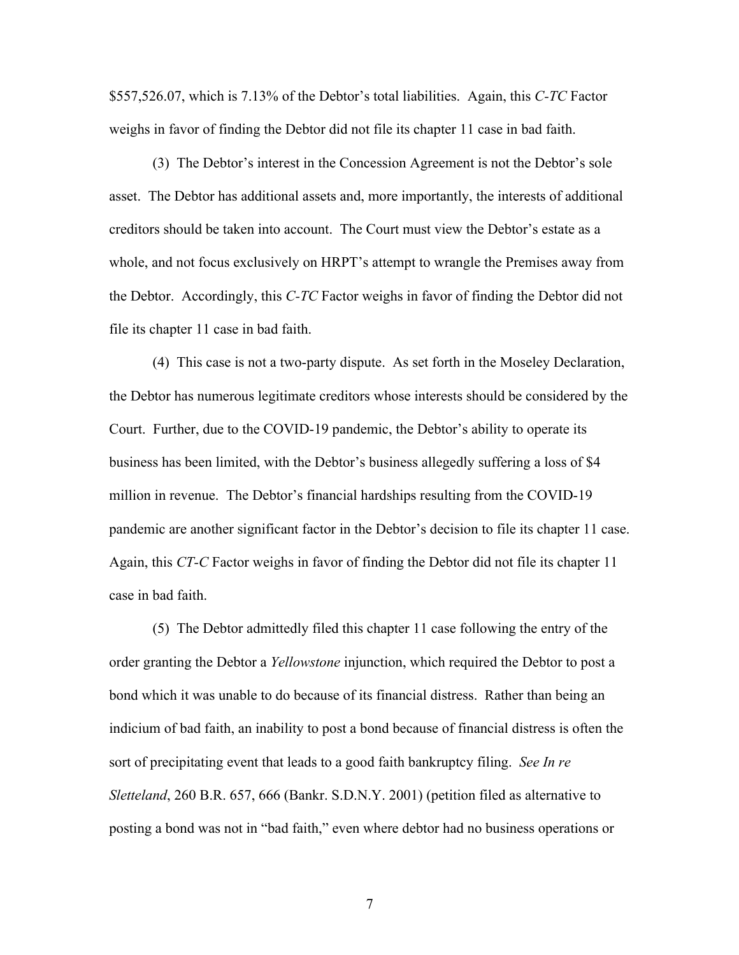\$557,526.07, which is 7.13% of the Debtor's total liabilities. Again, this *C-TC* Factor weighs in favor of finding the Debtor did not file its chapter 11 case in bad faith.

(3) The Debtor's interest in the Concession Agreement is not the Debtor's sole asset. The Debtor has additional assets and, more importantly, the interests of additional creditors should be taken into account. The Court must view the Debtor's estate as a whole, and not focus exclusively on HRPT's attempt to wrangle the Premises away from the Debtor. Accordingly, this *C-TC* Factor weighs in favor of finding the Debtor did not file its chapter 11 case in bad faith.

(4) This case is not a two-party dispute. As set forth in the Moseley Declaration, the Debtor has numerous legitimate creditors whose interests should be considered by the Court. Further, due to the COVID-19 pandemic, the Debtor's ability to operate its business has been limited, with the Debtor's business allegedly suffering a loss of \$4 million in revenue. The Debtor's financial hardships resulting from the COVID-19 pandemic are another significant factor in the Debtor's decision to file its chapter 11 case. Again, this *CT-C* Factor weighs in favor of finding the Debtor did not file its chapter 11 case in bad faith.

(5) The Debtor admittedly filed this chapter 11 case following the entry of the order granting the Debtor a *Yellowstone* injunction, which required the Debtor to post a bond which it was unable to do because of its financial distress. Rather than being an indicium of bad faith, an inability to post a bond because of financial distress is often the sort of precipitating event that leads to a good faith bankruptcy filing. *See In re Sletteland*, 260 B.R. 657, 666 (Bankr. S.D.N.Y. 2001) (petition filed as alternative to posting a bond was not in "bad faith," even where debtor had no business operations or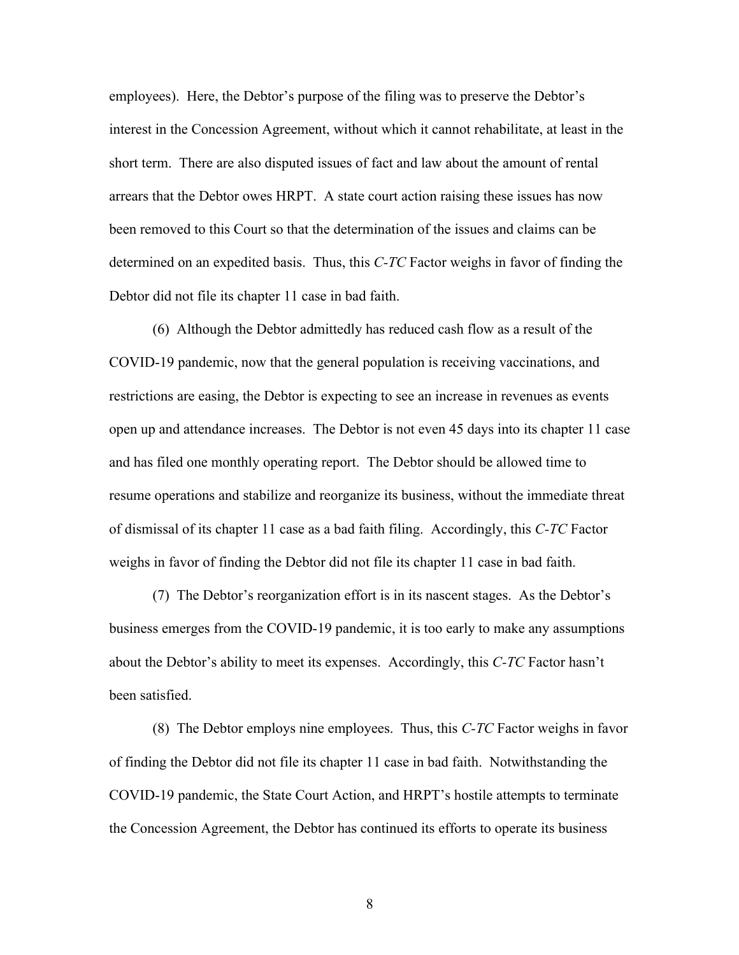employees). Here, the Debtor's purpose of the filing was to preserve the Debtor's interest in the Concession Agreement, without which it cannot rehabilitate, at least in the short term. There are also disputed issues of fact and law about the amount of rental arrears that the Debtor owes HRPT. A state court action raising these issues has now been removed to this Court so that the determination of the issues and claims can be determined on an expedited basis. Thus, this *C-TC* Factor weighs in favor of finding the Debtor did not file its chapter 11 case in bad faith.

(6) Although the Debtor admittedly has reduced cash flow as a result of the COVID-19 pandemic, now that the general population is receiving vaccinations, and restrictions are easing, the Debtor is expecting to see an increase in revenues as events open up and attendance increases. The Debtor is not even 45 days into its chapter 11 case and has filed one monthly operating report. The Debtor should be allowed time to resume operations and stabilize and reorganize its business, without the immediate threat of dismissal of its chapter 11 case as a bad faith filing. Accordingly, this *C-TC* Factor weighs in favor of finding the Debtor did not file its chapter 11 case in bad faith.

(7) The Debtor's reorganization effort is in its nascent stages. As the Debtor's business emerges from the COVID-19 pandemic, it is too early to make any assumptions about the Debtor's ability to meet its expenses. Accordingly, this *C-TC* Factor hasn't been satisfied.

(8) The Debtor employs nine employees. Thus, this *C-TC* Factor weighs in favor of finding the Debtor did not file its chapter 11 case in bad faith. Notwithstanding the COVID-19 pandemic, the State Court Action, and HRPT's hostile attempts to terminate the Concession Agreement, the Debtor has continued its efforts to operate its business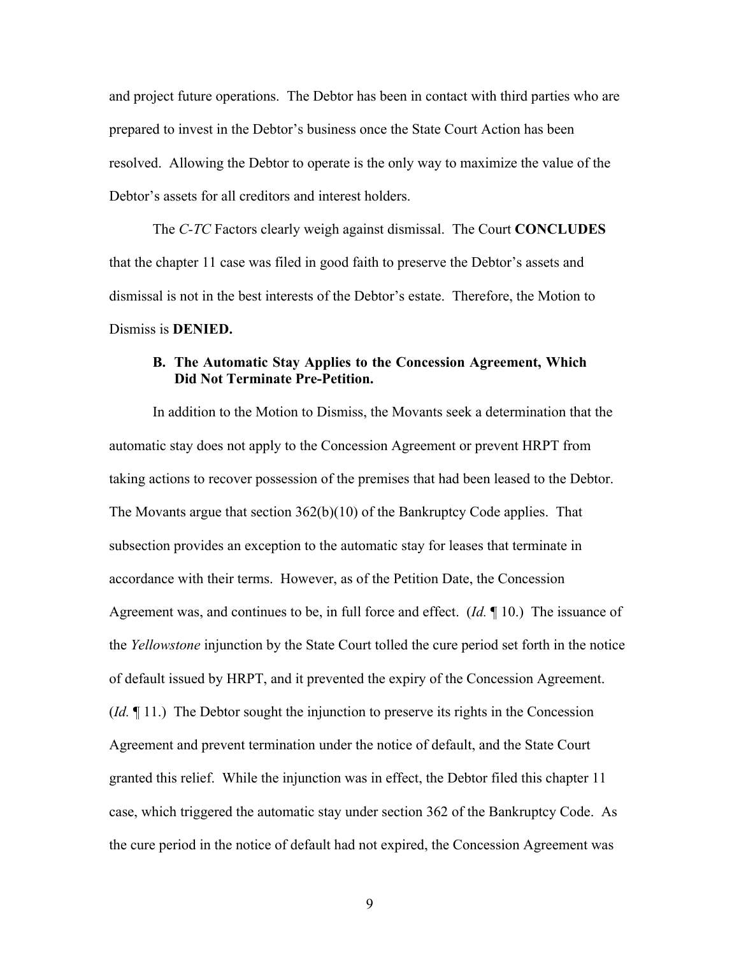and project future operations. The Debtor has been in contact with third parties who are prepared to invest in the Debtor's business once the State Court Action has been resolved. Allowing the Debtor to operate is the only way to maximize the value of the Debtor's assets for all creditors and interest holders.

The *C-TC* Factors clearly weigh against dismissal. The Court **CONCLUDES** that the chapter 11 case was filed in good faith to preserve the Debtor's assets and dismissal is not in the best interests of the Debtor's estate. Therefore, the Motion to Dismiss is **DENIED.**

### **B. The Automatic Stay Applies to the Concession Agreement, Which Did Not Terminate Pre-Petition.**

In addition to the Motion to Dismiss, the Movants seek a determination that the automatic stay does not apply to the Concession Agreement or prevent HRPT from taking actions to recover possession of the premises that had been leased to the Debtor. The Movants argue that section  $362(b)(10)$  of the Bankruptcy Code applies. That subsection provides an exception to the automatic stay for leases that terminate in accordance with their terms. However, as of the Petition Date, the Concession Agreement was, and continues to be, in full force and effect. (*Id.* ¶ 10.) The issuance of the *Yellowstone* injunction by the State Court tolled the cure period set forth in the notice of default issued by HRPT, and it prevented the expiry of the Concession Agreement. (*Id.* ¶ 11.) The Debtor sought the injunction to preserve its rights in the Concession Agreement and prevent termination under the notice of default, and the State Court granted this relief. While the injunction was in effect, the Debtor filed this chapter 11 case, which triggered the automatic stay under section 362 of the Bankruptcy Code. As the cure period in the notice of default had not expired, the Concession Agreement was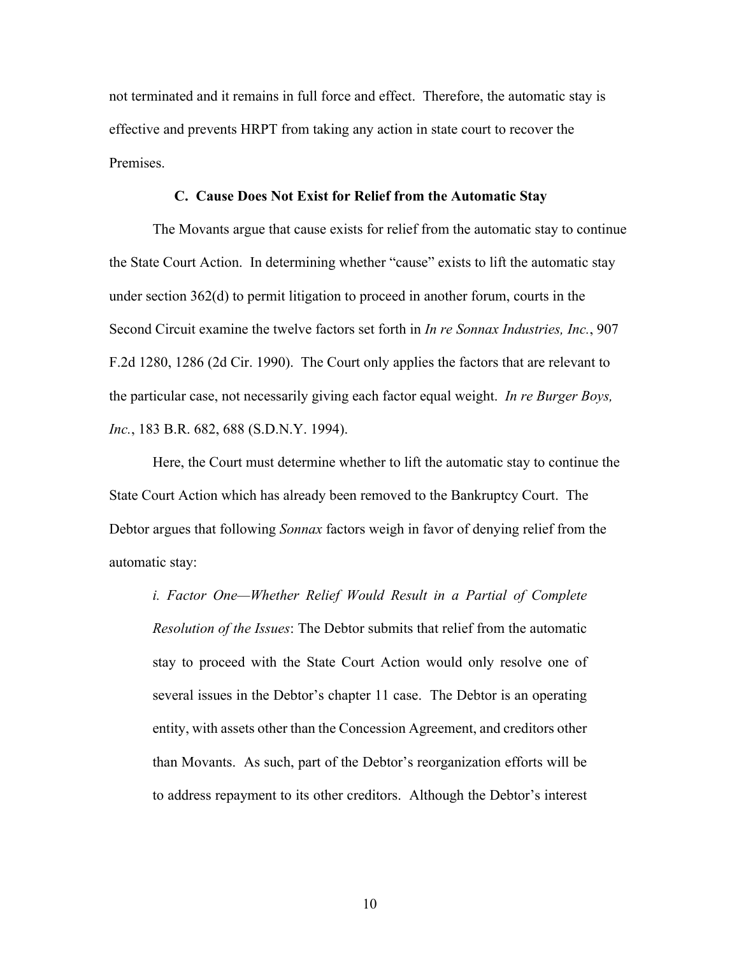not terminated and it remains in full force and effect. Therefore, the automatic stay is effective and prevents HRPT from taking any action in state court to recover the Premises.

#### **C. Cause Does Not Exist for Relief from the Automatic Stay**

The Movants argue that cause exists for relief from the automatic stay to continue the State Court Action. In determining whether "cause" exists to lift the automatic stay under section 362(d) to permit litigation to proceed in another forum, courts in the Second Circuit examine the twelve factors set forth in *In re Sonnax Industries, Inc.*, 907 F.2d 1280, 1286 (2d Cir. 1990). The Court only applies the factors that are relevant to the particular case, not necessarily giving each factor equal weight. *In re Burger Boys, Inc.*, 183 B.R. 682, 688 (S.D.N.Y. 1994).

Here, the Court must determine whether to lift the automatic stay to continue the State Court Action which has already been removed to the Bankruptcy Court. The Debtor argues that following *Sonnax* factors weigh in favor of denying relief from the automatic stay:

*i. Factor One—Whether Relief Would Result in a Partial of Complete Resolution of the Issues*: The Debtor submits that relief from the automatic stay to proceed with the State Court Action would only resolve one of several issues in the Debtor's chapter 11 case. The Debtor is an operating entity, with assets other than the Concession Agreement, and creditors other than Movants. As such, part of the Debtor's reorganization efforts will be to address repayment to its other creditors.Although the Debtor's interest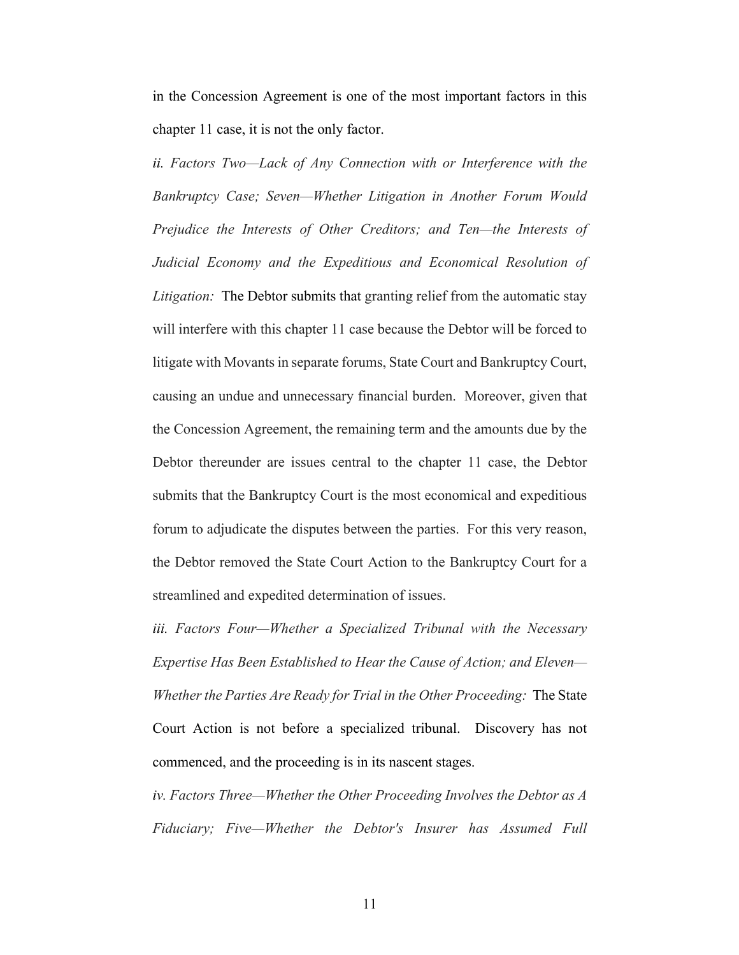in the Concession Agreement is one of the most important factors in this chapter 11 case, it is not the only factor.

*ii. Factors Two—Lack of Any Connection with or Interference with the Bankruptcy Case; Seven—Whether Litigation in Another Forum Would Prejudice the Interests of Other Creditors; and Ten—the Interests of Judicial Economy and the Expeditious and Economical Resolution of Litigation:* The Debtor submits that granting relief from the automatic stay will interfere with this chapter 11 case because the Debtor will be forced to litigate with Movants in separate forums, State Court and Bankruptcy Court, causing an undue and unnecessary financial burden. Moreover, given that the Concession Agreement, the remaining term and the amounts due by the Debtor thereunder are issues central to the chapter 11 case, the Debtor submits that the Bankruptcy Court is the most economical and expeditious forum to adjudicate the disputes between the parties. For this very reason, the Debtor removed the State Court Action to the Bankruptcy Court for a streamlined and expedited determination of issues.

*iii. Factors Four—Whether a Specialized Tribunal with the Necessary Expertise Has Been Established to Hear the Cause of Action; and Eleven— Whether the Parties Are Ready for Trial in the Other Proceeding:* The State Court Action is not before a specialized tribunal. Discovery has not commenced, and the proceeding is in its nascent stages.

*iv. Factors Three—Whether the Other Proceeding Involves the Debtor as A Fiduciary; Five—Whether the Debtor's Insurer has Assumed Full*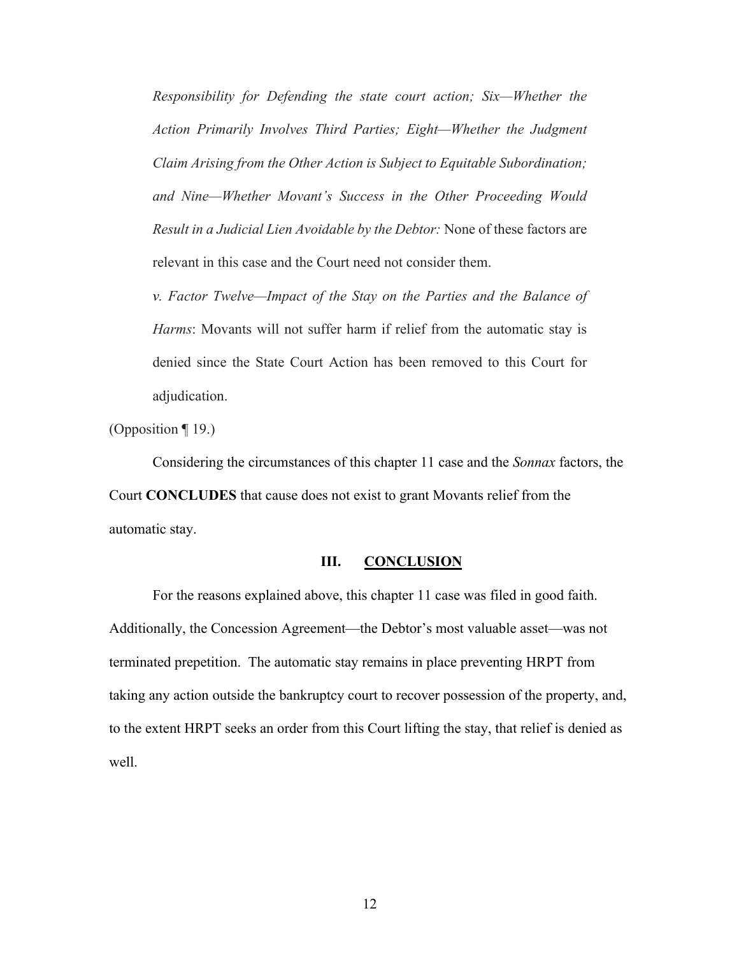*Responsibility for Defending the state court action; Six—Whether the Action Primarily Involves Third Parties; Eight—Whether the Judgment Claim Arising from the Other Action is Subject to Equitable Subordination; and Nine—Whether Movant's Success in the Other Proceeding Would Result in a Judicial Lien Avoidable by the Debtor:* None of these factors are relevant in this case and the Court need not consider them.

*v. Factor Twelve—Impact of the Stay on the Parties and the Balance of Harms*: Movants will not suffer harm if relief from the automatic stay is denied since the State Court Action has been removed to this Court for adjudication.

(Opposition ¶ 19.)

Considering the circumstances of this chapter 11 case and the *Sonnax* factors, the Court **CONCLUDES** that cause does not exist to grant Movants relief from the automatic stay.

#### **III. CONCLUSION**

For the reasons explained above, this chapter 11 case was filed in good faith. Additionally, the Concession Agreement—the Debtor's most valuable asset—was not terminated prepetition. The automatic stay remains in place preventing HRPT from taking any action outside the bankruptcy court to recover possession of the property, and, to the extent HRPT seeks an order from this Court lifting the stay, that relief is denied as well.